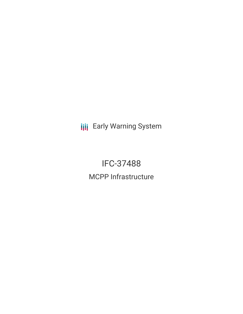**III** Early Warning System

IFC-37488 MCPP Infrastructure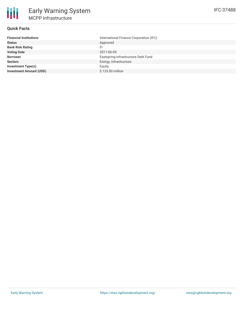## **Quick Facts**

| <b>Financial Institutions</b>  | International Finance Corporation (IFC) |
|--------------------------------|-----------------------------------------|
| <b>Status</b>                  | Approved                                |
| <b>Bank Risk Rating</b>        | FI                                      |
| <b>Voting Date</b>             | 2017-06-09                              |
| <b>Borrower</b>                | Eastspring Infrastructure Debt Fund     |
| <b>Sectors</b>                 | Energy, Infrastructure                  |
| <b>Investment Type(s)</b>      | Equity                                  |
| <b>Investment Amount (USD)</b> | \$125.00 million                        |
|                                |                                         |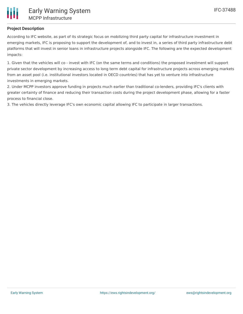

## **Project Description**

According to IFC website, as part of its strategic focus on mobilizing third party capital for infrastructure investment in emerging markets, IFC is proposing to support the development of, and to invest in, a series of third party infrastructure debt platforms that will invest in senior loans in infrastructure projects alongside IFC. The following are the expected development impacts:

1. Given that the vehicles will co - invest with IFC (on the same terms and conditions) the proposed investment will support private sector development by increasing access to long term debt capital for infrastructure projects across emerging markets from an asset pool (i.e. institutional investors located in OECD countries) that has yet to venture into infrastructure investments in emerging markets.

2. Under MCPP investors approve funding in projects much earlier than traditional co-lenders, providing IFC's clients with greater certainty of finance and reducing their transaction costs during the project development phase, allowing for a faster process to financial close.

3. The vehicles directly leverage IFC's own economic capital allowing IFC to participate in larger transactions.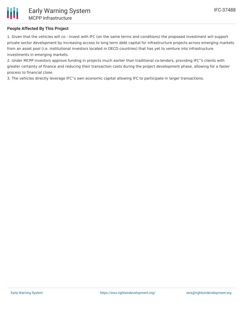## **People Affected By This Project**

1. Given that the vehicles will co - invest with IFC (on the same terms and conditions) the proposed investment will support private sector development by increasing access to long term debt capital for infrastructure projects across emerging markets from an asset pool (i.e. institutional investors located in OECD countries) that has yet to venture into infrastructure investments in emerging markets.

2. Under MCPP investors approve funding in projects much earlier than traditional co-lenders, providing IFC''s clients with greater certainty of finance and reducing their transaction costs during the project development phase, allowing for a faster process to financial close.

3. The vehicles directly leverage IFC''s own economic capital allowing IFC to participate in larger transactions.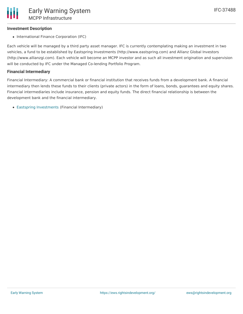### **Investment Description**

• International Finance Corporation (IFC)

Each vehicle will be managed by a third party asset manager. IFC is currently contemplating making an investment in two vehicles, a fund to be established by Eastspring Investments (http://www.eastspring.com) and Allianz Global Investors (http://www.allianzgi.com). Each vehicle will become an MCPP investor and as such all investment origination and supervision will be conducted by IFC under the Managed Co-lending Portfolio Program.

#### **Financial Intermediary**

Financial Intermediary: A commercial bank or financial institution that receives funds from a development bank. A financial intermediary then lends these funds to their clients (private actors) in the form of loans, bonds, guarantees and equity shares. Financial intermediaries include insurance, pension and equity funds. The direct financial relationship is between the development bank and the financial intermediary.

Eastspring [Investments](file:///actor/1119/) (Financial Intermediary)